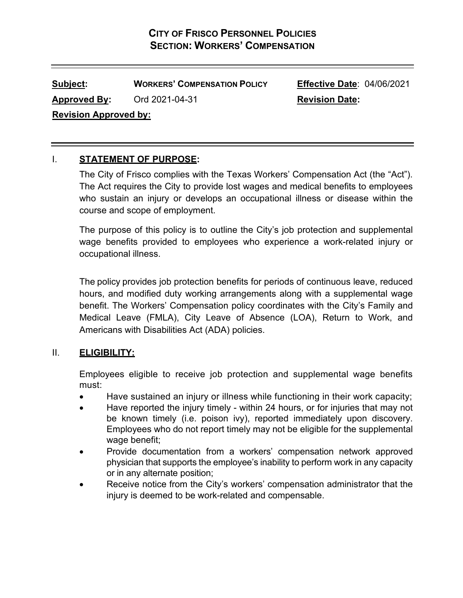**Subject: WORKERS' COMPENSATION POLICY Effective Date**: 04/06/2021 Approved By: Ord 2021-04-31 Revision Date: **Revision Approved by:**

# I. **STATEMENT OF PURPOSE:**

The City of Frisco complies with the Texas Workers' Compensation Act (the "Act"). The Act requires the City to provide lost wages and medical benefits to employees who sustain an injury or develops an occupational illness or disease within the course and scope of employment.

The purpose of this policy is to outline the City's job protection and supplemental wage benefits provided to employees who experience a work-related injury or occupational illness.

The policy provides job protection benefits for periods of continuous leave, reduced hours, and modified duty working arrangements along with a supplemental wage benefit. The Workers' Compensation policy coordinates with the City's Family and Medical Leave (FMLA), City Leave of Absence (LOA), Return to Work, and Americans with Disabilities Act (ADA) policies.

# II. **ELIGIBILITY:**

Employees eligible to receive job protection and supplemental wage benefits must:

- Have sustained an injury or illness while functioning in their work capacity;
- Have reported the injury timely within 24 hours, or for injuries that may not be known timely (i.e. poison ivy), reported immediately upon discovery. Employees who do not report timely may not be eligible for the supplemental wage benefit;
- Provide documentation from a workers' compensation network approved physician that supports the employee's inability to perform work in any capacity or in any alternate position;
- Receive notice from the City's workers' compensation administrator that the injury is deemed to be work-related and compensable.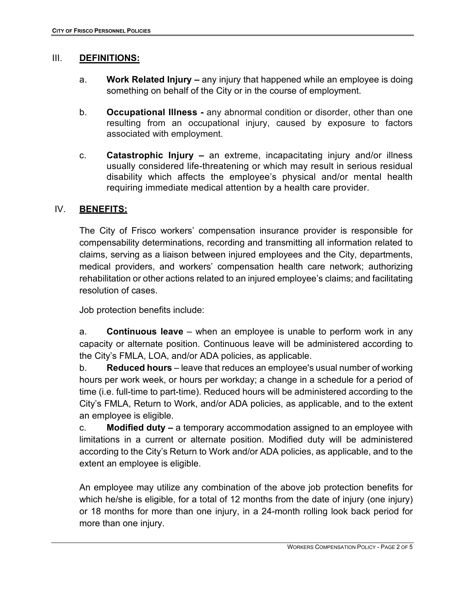#### III. **DEFINITIONS:**

- a. **Work Related Injury –** any injury that happened while an employee is doing something on behalf of the City or in the course of employment.
- b. **Occupational Illness -** any abnormal condition or disorder, other than one resulting from an occupational injury, caused by exposure to factors associated with employment.
- c. **Catastrophic Injury –** an extreme, incapacitating injury and/or illness usually considered life-threatening or which may result in serious residual disability which affects the employee's physical and/or mental health requiring immediate medical attention by a health care provider.

#### IV. **BENEFITS:**

The City of Frisco workers' compensation insurance provider is responsible for compensability determinations, recording and transmitting all information related to claims, serving as a liaison between injured employees and the City, departments, medical providers, and workers' compensation health care network; authorizing rehabilitation or other actions related to an injured employee's claims; and facilitating resolution of cases.

Job protection benefits include:

a. **Continuous leave** – when an employee is unable to perform work in any capacity or alternate position. Continuous leave will be administered according to the City's FMLA, LOA, and/or ADA policies, as applicable.

b. **Reduced hours** – leave that reduces an employee's usual number of working hours per work week, or hours per workday; a change in a schedule for a period of time (i.e. full-time to part-time). Reduced hours will be administered according to the City's FMLA, Return to Work, and/or ADA policies, as applicable, and to the extent an employee is eligible.

c. **Modified duty –** a temporary accommodation assigned to an employee with limitations in a current or alternate position. Modified duty will be administered according to the City's Return to Work and/or ADA policies, as applicable, and to the extent an employee is eligible.

An employee may utilize any combination of the above job protection benefits for which he/she is eligible, for a total of 12 months from the date of injury (one injury) or 18 months for more than one injury, in a 24-month rolling look back period for more than one injury.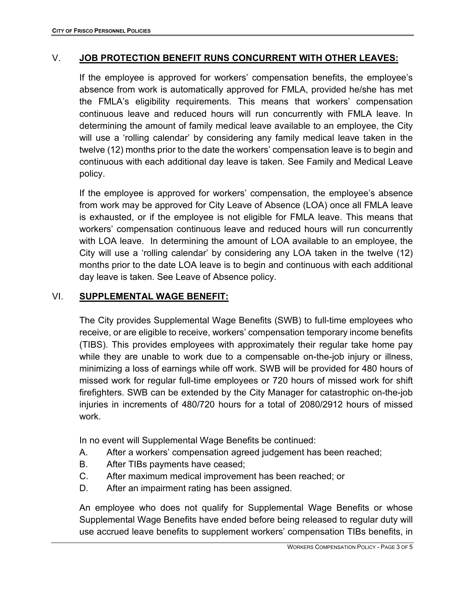### V. **JOB PROTECTION BENEFIT RUNS CONCURRENT WITH OTHER LEAVES:**

If the employee is approved for workers' compensation benefits, the employee's absence from work is automatically approved for FMLA, provided he/she has met the FMLA's eligibility requirements. This means that workers' compensation continuous leave and reduced hours will run concurrently with FMLA leave. In determining the amount of family medical leave available to an employee, the City will use a 'rolling calendar' by considering any family medical leave taken in the twelve (12) months prior to the date the workers' compensation leave is to begin and continuous with each additional day leave is taken. See Family and Medical Leave policy.

If the employee is approved for workers' compensation, the employee's absence from work may be approved for City Leave of Absence (LOA) once all FMLA leave is exhausted, or if the employee is not eligible for FMLA leave. This means that workers' compensation continuous leave and reduced hours will run concurrently with LOA leave. In determining the amount of LOA available to an employee, the City will use a 'rolling calendar' by considering any LOA taken in the twelve (12) months prior to the date LOA leave is to begin and continuous with each additional day leave is taken. See Leave of Absence policy.

#### VI. **SUPPLEMENTAL WAGE BENEFIT:**

The City provides Supplemental Wage Benefits (SWB) to full-time employees who receive, or are eligible to receive, workers' compensation temporary income benefits (TIBS). This provides employees with approximately their regular take home pay while they are unable to work due to a compensable on-the-job injury or illness, minimizing a loss of earnings while off work. SWB will be provided for 480 hours of missed work for regular full-time employees or 720 hours of missed work for shift firefighters. SWB can be extended by the City Manager for catastrophic on-the-job injuries in increments of 480/720 hours for a total of 2080/2912 hours of missed work.

In no event will Supplemental Wage Benefits be continued:

- A. After a workers' compensation agreed judgement has been reached;
- B. After TIBs payments have ceased;
- C. After maximum medical improvement has been reached; or
- D. After an impairment rating has been assigned.

An employee who does not qualify for Supplemental Wage Benefits or whose Supplemental Wage Benefits have ended before being released to regular duty will use accrued leave benefits to supplement workers' compensation TIBs benefits, in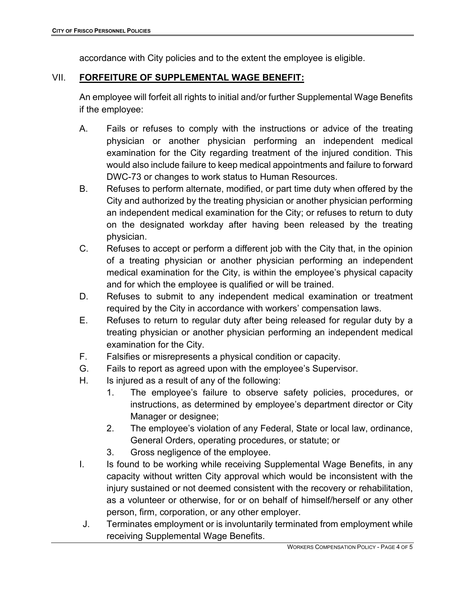accordance with City policies and to the extent the employee is eligible.

# VII. **FORFEITURE OF SUPPLEMENTAL WAGE BENEFIT:**

An employee will forfeit all rights to initial and/or further Supplemental Wage Benefits if the employee:

- A. Fails or refuses to comply with the instructions or advice of the treating physician or another physician performing an independent medical examination for the City regarding treatment of the injured condition. This would also include failure to keep medical appointments and failure to forward DWC-73 or changes to work status to Human Resources.
- B. Refuses to perform alternate, modified, or part time duty when offered by the City and authorized by the treating physician or another physician performing an independent medical examination for the City; or refuses to return to duty on the designated workday after having been released by the treating physician.
- C. Refuses to accept or perform a different job with the City that, in the opinion of a treating physician or another physician performing an independent medical examination for the City, is within the employee's physical capacity and for which the employee is qualified or will be trained.
- D. Refuses to submit to any independent medical examination or treatment required by the City in accordance with workers' compensation laws.
- E. Refuses to return to regular duty after being released for regular duty by a treating physician or another physician performing an independent medical examination for the City.
- F. Falsifies or misrepresents a physical condition or capacity.
- G. Fails to report as agreed upon with the employee's Supervisor.
- H. Is injured as a result of any of the following:
	- 1. The employee's failure to observe safety policies, procedures, or instructions, as determined by employee's department director or City Manager or designee;
	- 2. The employee's violation of any Federal, State or local law, ordinance, General Orders, operating procedures, or statute; or
	- 3. Gross negligence of the employee.
- I. Is found to be working while receiving Supplemental Wage Benefits, in any capacity without written City approval which would be inconsistent with the injury sustained or not deemed consistent with the recovery or rehabilitation, as a volunteer or otherwise, for or on behalf of himself/herself or any other person, firm, corporation, or any other employer.
- J. Terminates employment or is involuntarily terminated from employment while receiving Supplemental Wage Benefits.